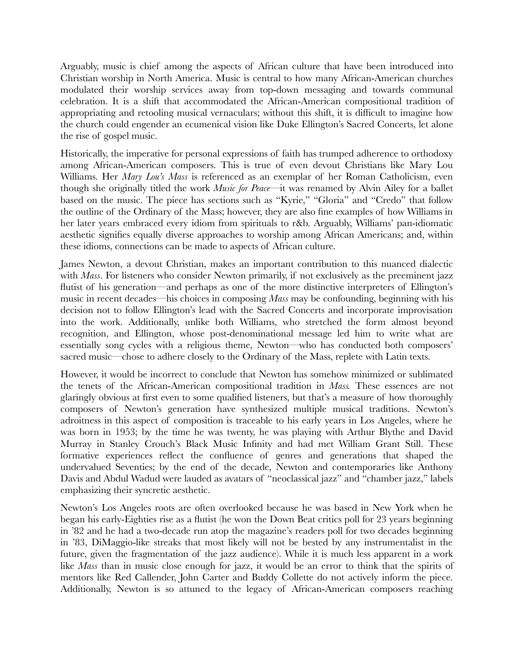Arguably, music is chief among the aspects of African culture that have been introduced into Christian worship in North America. Music is central to how many African-American churches modulated their worship services away from top-down messaging and towards communal celebration. It is a shift that accommodated the African-American compositional tradition of appropriating and retooling musical vernaculars; without this shift, it is difficult to imagine how the church could engender an ecumenical vision like Duke Ellington's Sacred Concerts, let alone the rise of gospel music.

Historically, the imperative for personal expressions of faith has trumped adherence to orthodoxy among African-American composers. This is true of even devout Christians like Mary Lou Williams. Her *Mary Lou's Mass* is referenced as an exemplar of her Roman Catholicism, even though she originally titled the work *Music for Peace*—it was renamed by Alvin Ailey for a ballet based on the music. The piece has sections such as "Kyrie," "Gloria" and "Credo" that follow the outline of the Ordinary of the Mass; however, they are also fine examples of how Williams in her later years embraced every idiom from spirituals to r&b. Arguably, Williams' pan-idiomatic aesthetic signifies equally diverse approaches to worship among African Americans; and, within these idioms, connections can be made to aspects of African culture.

James Newton, a devout Christian, makes an important contribution to this nuanced dialectic with *Mass*. For listeners who consider Newton primarily, if not exclusively as the preeminent jazz flutist of his generation—and perhaps as one of the more distinctive interpreters of Ellington's music in recent decades—his choices in composing *Mass* may be confounding, beginning with his decision not to follow Ellington's lead with the Sacred Concerts and incorporate improvisation into the work. Additionally, unlike both Williams, who stretched the form almost beyond recognition, and Ellington, whose post-denominational message led him to write what are essentially song cycles with a religious theme, Newton—who has conducted both composers' sacred music—chose to adhere closely to the Ordinary of the Mass, replete with Latin texts.

However, it would be incorrect to conclude that Newton has somehow minimized or sublimated the tenets of the African-American compositional tradition in *Mass.* These essences are not glaringly obvious at first even to some qualified listeners, but that's a measure of how thoroughly composers of Newton's generation have synthesized multiple musical traditions. Newton's adroitness in this aspect of composition is traceable to his early years in Los Angeles, where he was born in 1953; by the time he was twenty, he was playing with Arthur Blythe and David Murray in Stanley Crouch's Black Music Infinity and had met William Grant Still. These formative experiences reflect the confluence of genres and generations that shaped the undervalued Seventies; by the end of the decade, Newton and contemporaries like Anthony Davis and Abdul Wadud were lauded as avatars of "neoclassical jazz" and "chamber jazz," labels emphasizing their syncretic aesthetic.

Newton's Los Angeles roots are often overlooked because he was based in New York when he began his early-Eighties rise as a flutist (he won the Down Beat critics poll for 23 years beginning in '82 and he had a two-decade run atop the magazine's readers poll for two decades beginning in '83, DiMaggio-like streaks that most likely will not be bested by any instrumentalist in the future, given the fragmentation of the jazz audience). While it is much less apparent in a work like *Mass* than in music close enough for jazz, it would be an error to think that the spirits of mentors like Red Callender, John Carter and Buddy Collette do not actively inform the piece. Additionally, Newton is so attuned to the legacy of African-American composers reaching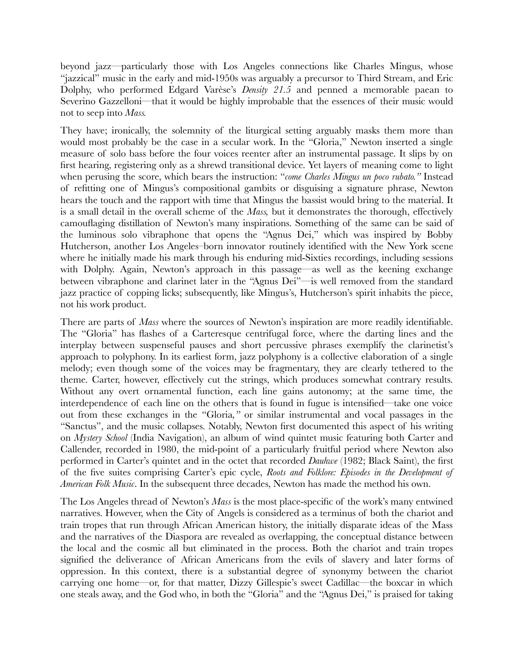beyond jazz—particularly those with Los Angeles connections like Charles Mingus, whose "jazzical" music in the early and mid-1950s was arguably a precursor to Third Stream, and Eric Dolphy, who performed Edgard Varèse's *Density 21.5* and penned a memorable paean to Severino Gazzelloni—that it would be highly improbable that the essences of their music would not to seep into *Mass.*

They have; ironically, the solemnity of the liturgical setting arguably masks them more than would most probably be the case in a secular work. In the "Gloria," Newton inserted a single measure of solo bass before the four voices reenter after an instrumental passage. It slips by on first hearing, registering only as a shrewd transitional device. Yet layers of meaning come to light when perusing the score, which bears the instruction: "*come Charles Mingus un poco rubato."* Instead of refitting one of Mingus's compositional gambits or disguising a signature phrase, Newton hears the touch and the rapport with time that Mingus the bassist would bring to the material. It is a small detail in the overall scheme of the *Mass,* but it demonstrates the thorough, effectively camouflaging distillation of Newton's many inspirations. Something of the same can be said of the luminous solo vibraphone that opens the "Agnus Dei," which was inspired by Bobby Hutcherson, another Los Angeles–born innovator routinely identified with the New York scene where he initially made his mark through his enduring mid-Sixties recordings, including sessions with Dolphy. Again, Newton's approach in this passage—as well as the keening exchange between vibraphone and clarinet later in the "Agnus Dei"—is well removed from the standard jazz practice of copping licks; subsequently, like Mingus's, Hutcherson's spirit inhabits the piece, not his work product.

There are parts of *Mass* where the sources of Newton's inspiration are more readily identifiable. The "Gloria" has flashes of a Carteresque centrifugal force, where the darting lines and the interplay between suspenseful pauses and short percussive phrases exemplify the clarinetist's approach to polyphony. In its earliest form, jazz polyphony is a collective elaboration of a single melody; even though some of the voices may be fragmentary, they are clearly tethered to the theme. Carter, however, effectively cut the strings, which produces somewhat contrary results. Without any overt ornamental function, each line gains autonomy; at the same time, the interdependence of each line on the others that is found in fugue is intensified—take one voice out from these exchanges in the "Gloria*,"* or similar instrumental and vocal passages in the "Sanctus", and the music collapses. Notably, Newton first documented this aspect of his writing on *Mystery School* (India Navigation), an album of wind quintet music featuring both Carter and Callender, recorded in 1980, the mid-point of a particularly fruitful period where Newton also performed in Carter's quintet and in the octet that recorded *Dauhwe* (1982; Black Saint), the first of the five suites comprising Carter's epic cycle, *Roots and Folklore: Episodes in the Development of American Folk Music*. In the subsequent three decades, Newton has made the method his own.

The Los Angeles thread of Newton's *Mass* is the most place-specific of the work's many entwined narratives. However, when the City of Angels is considered as a terminus of both the chariot and train tropes that run through African American history, the initially disparate ideas of the Mass and the narratives of the Diaspora are revealed as overlapping, the conceptual distance between the local and the cosmic all but eliminated in the process. Both the chariot and train tropes signified the deliverance of African Americans from the evils of slavery and later forms of oppression. In this context, there is a substantial degree of synonymy between the chariot carrying one home—or, for that matter, Dizzy Gillespie's sweet Cadillac—the boxcar in which one steals away, and the God who, in both the "Gloria" and the "Agnus Dei," is praised for taking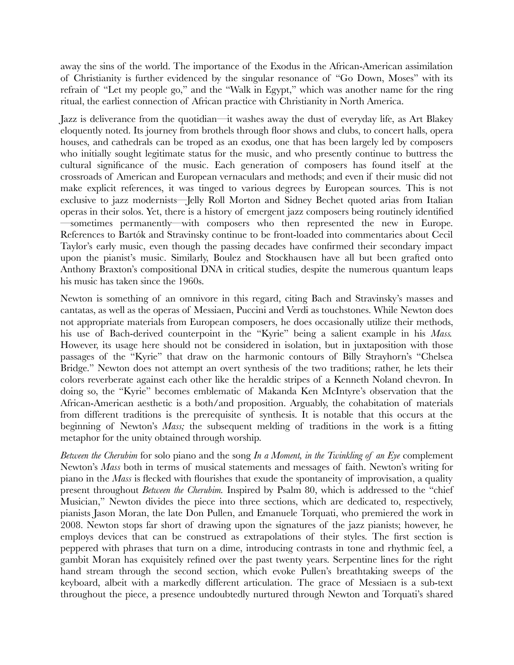away the sins of the world. The importance of the Exodus in the African-American assimilation of Christianity is further evidenced by the singular resonance of "Go Down, Moses" with its refrain of "Let my people go," and the "Walk in Egypt," which was another name for the ring ritual, the earliest connection of African practice with Christianity in North America.

Jazz is deliverance from the quotidian—it washes away the dust of everyday life, as Art Blakey eloquently noted. Its journey from brothels through floor shows and clubs, to concert halls, opera houses, and cathedrals can be troped as an exodus, one that has been largely led by composers who initially sought legitimate status for the music, and who presently continue to buttress the cultural significance of the music. Each generation of composers has found itself at the crossroads of American and European vernaculars and methods; and even if their music did not make explicit references, it was tinged to various degrees by European sources. This is not exclusive to jazz modernists—Jelly Roll Morton and Sidney Bechet quoted arias from Italian operas in their solos. Yet, there is a history of emergent jazz composers being routinely identified —sometimes permanently—with composers who then represented the new in Europe. References to Bartók and Stravinsky continue to be front-loaded into commentaries about Cecil Taylor's early music, even though the passing decades have confirmed their secondary impact upon the pianist's music. Similarly, Boulez and Stockhausen have all but been grafted onto Anthony Braxton's compositional DNA in critical studies, despite the numerous quantum leaps his music has taken since the 1960s.

Newton is something of an omnivore in this regard, citing Bach and Stravinsky's masses and cantatas, as well as the operas of Messiaen, Puccini and Verdi as touchstones. While Newton does not appropriate materials from European composers, he does occasionally utilize their methods, his use of Bach-derived counterpoint in the "Kyrie" being a salient example in his *Mass.* However, its usage here should not be considered in isolation, but in juxtaposition with those passages of the "Kyrie" that draw on the harmonic contours of Billy Strayhorn's "Chelsea Bridge." Newton does not attempt an overt synthesis of the two traditions; rather, he lets their colors reverberate against each other like the heraldic stripes of a Kenneth Noland chevron. In doing so, the "Kyrie" becomes emblematic of Makanda Ken McIntyre's observation that the African-American aesthetic is a both/and proposition. Arguably, the cohabitation of materials from different traditions is the prerequisite of synthesis. It is notable that this occurs at the beginning of Newton's *Mass;* the subsequent melding of traditions in the work is a fitting metaphor for the unity obtained through worship.

*Between the Cherubim* for solo piano and the song *In a Moment, in the Twinkling of an Eye* complement Newton's *Mass* both in terms of musical statements and messages of faith. Newton's writing for piano in the *Mass* is flecked with flourishes that exude the spontaneity of improvisation, a quality present throughout *Between the Cherubim.* Inspired by Psalm 80, which is addressed to the "chief Musician," Newton divides the piece into three sections, which are dedicated to, respectively, pianists Jason Moran, the late Don Pullen, and Emanuele Torquati, who premiered the work in 2008. Newton stops far short of drawing upon the signatures of the jazz pianists; however, he employs devices that can be construed as extrapolations of their styles. The first section is peppered with phrases that turn on a dime, introducing contrasts in tone and rhythmic feel, a gambit Moran has exquisitely refined over the past twenty years. Serpentine lines for the right hand stream through the second section, which evoke Pullen's breathtaking sweeps of the keyboard, albeit with a markedly different articulation. The grace of Messiaen is a sub-text throughout the piece, a presence undoubtedly nurtured through Newton and Torquati's shared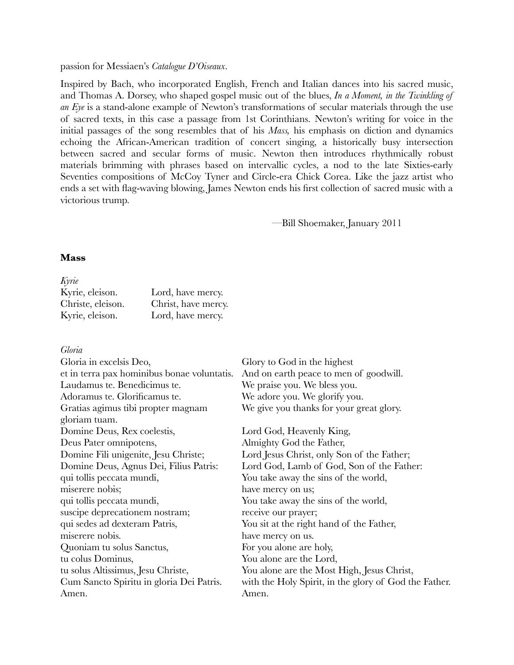#### passion for Messiaen's *Catalogue D'Oiseaux*.

Inspired by Bach, who incorporated English, French and Italian dances into his sacred music, and Thomas A. Dorsey, who shaped gospel music out of the blues, *In a Moment, in the Twinkling of an Eye* is a stand-alone example of Newton's transformations of secular materials through the use of sacred texts, in this case a passage from 1st Corinthians. Newton's writing for voice in the initial passages of the song resembles that of his *Mass,* his emphasis on diction and dynamics echoing the African-American tradition of concert singing, a historically busy intersection between sacred and secular forms of music. Newton then introduces rhythmically robust materials brimming with phrases based on intervallic cycles, a nod to the late Sixties-early Seventies compositions of McCoy Tyner and Circle-era Chick Corea. Like the jazz artist who ends a set with flag-waving blowing, James Newton ends his first collection of sacred music with a victorious trump.

—Bill Shoemaker, January 2011

#### **Mass**

| Kyrie, eleison.   | Lord, have mercy.   |
|-------------------|---------------------|
| Christe, eleison. | Christ, have mercy. |
| Kyrie, eleison.   | Lord, have mercy.   |

#### *Gloria*

| Gloria in excelsis Deo,                     | Glory to God in the highest                           |
|---------------------------------------------|-------------------------------------------------------|
| et in terra pax hominibus bonae voluntatis. | And on earth peace to men of goodwill.                |
| Laudamus te. Benedicimus te.                | We praise you. We bless you.                          |
| Adoramus te. Glorificamus te.               | We adore you. We glorify you.                         |
| Gratias agimus tibi propter magnam          | We give you thanks for your great glory.              |
| gloriam tuam.                               |                                                       |
| Domine Deus, Rex coelestis,                 | Lord God, Heavenly King,                              |
| Deus Pater omnipotens,                      | Almighty God the Father,                              |
| Domine Fili unigenite, Jesu Christe;        | Lord Jesus Christ, only Son of the Father;            |
| Domine Deus, Agnus Dei, Filius Patris:      | Lord God, Lamb of God, Son of the Father:             |
| qui tollis peccata mundi,                   | You take away the sins of the world,                  |
| miserere nobis;                             | have mercy on us;                                     |
| qui tollis peccata mundi,                   | You take away the sins of the world,                  |
| suscipe deprecationem nostram;              | receive our prayer;                                   |
| qui sedes ad dexteram Patris,               | You sit at the right hand of the Father,              |
| miserere nobis.                             | have mercy on us.                                     |
| Quoniam tu solus Sanctus,                   | For you alone are holy,                               |
| tu colus Dominus,                           | You alone are the Lord,                               |
| tu solus Altissimus, Jesu Christe,          | You alone are the Most High, Jesus Christ,            |
| Cum Sancto Spiritu in gloria Dei Patris.    | with the Holy Spirit, in the glory of God the Father. |
| Amen.                                       | Amen.                                                 |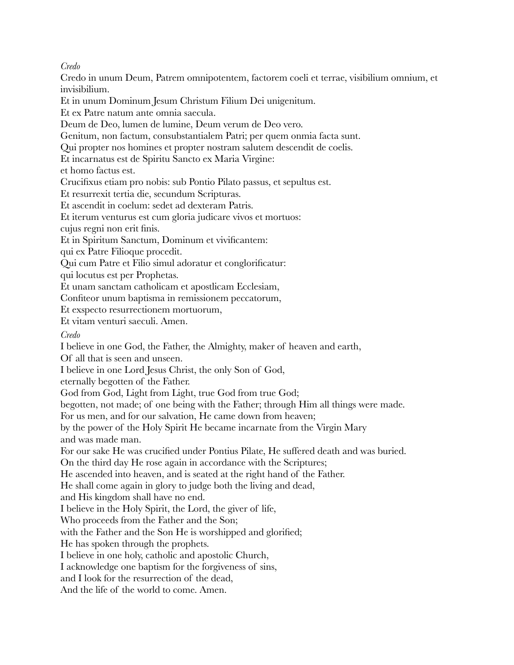*Credo*

Credo in unum Deum, Patrem omnipotentem, factorem coeli et terrae, visibilium omnium, et invisibilium.

Et in unum Dominum Jesum Christum Filium Dei unigenitum.

Et ex Patre natum ante omnia saecula.

Deum de Deo, lumen de lumine, Deum verum de Deo vero.

Genitum, non factum, consubstantialem Patri; per quem onmia facta sunt.

Qui propter nos homines et propter nostram salutem descendit de coelis.

Et incarnatus est de Spiritu Sancto ex Maria Virgine:

et homo factus est.

Crucifixus etiam pro nobis: sub Pontio Pilato passus, et sepultus est.

Et resurrexit tertia die, secundum Scripturas.

Et ascendit in coelum: sedet ad dexteram Patris.

Et iterum venturus est cum gloria judicare vivos et mortuos:

cujus regni non erit finis.

Et in Spiritum Sanctum, Dominum et vivificantem:

qui ex Patre Filioque procedit.

Qui cum Patre et Filio simul adoratur et conglorificatur:

qui locutus est per Prophetas.

Et unam sanctam catholicam et apostlicam Ecclesiam,

Confiteor unum baptisma in remissionem peccatorum,

Et exspecto resurrectionem mortuorum,

Et vitam venturi saeculi. Amen.

*Credo*

I believe in one God, the Father, the Almighty, maker of heaven and earth,

Of all that is seen and unseen.

I believe in one Lord Jesus Christ, the only Son of God,

eternally begotten of the Father.

God from God, Light from Light, true God from true God;

begotten, not made; of one being with the Father; through Him all things were made.

For us men, and for our salvation, He came down from heaven;

by the power of the Holy Spirit He became incarnate from the Virgin Mary and was made man.

For our sake He was crucified under Pontius Pilate, He suffered death and was buried.

On the third day He rose again in accordance with the Scriptures;

He ascended into heaven, and is seated at the right hand of the Father.

He shall come again in glory to judge both the living and dead,

and His kingdom shall have no end.

I believe in the Holy Spirit, the Lord, the giver of life,

Who proceeds from the Father and the Son;

with the Father and the Son He is worshipped and glorified;

He has spoken through the prophets.

I believe in one holy, catholic and apostolic Church,

I acknowledge one baptism for the forgiveness of sins,

and I look for the resurrection of the dead,

And the life of the world to come. Amen.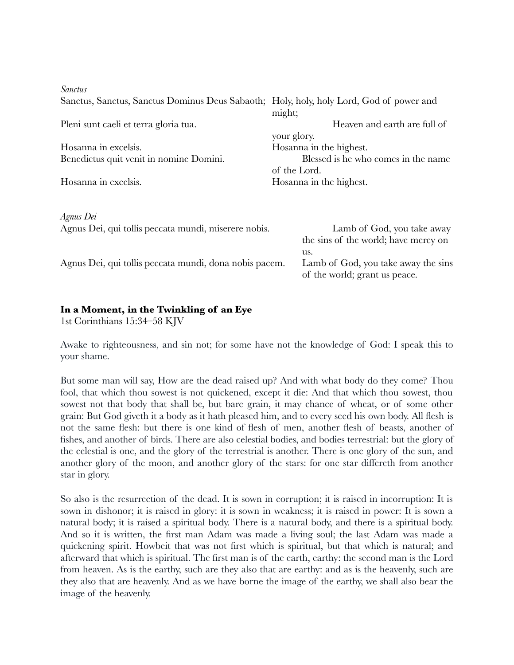| <i>Sanctus</i>                                                                          |                                      |
|-----------------------------------------------------------------------------------------|--------------------------------------|
| Sanctus, Sanctus, Sanctus Dominus Deus Sabaoth; Holy, holy, holy Lord, God of power and |                                      |
|                                                                                         | might;                               |
| Pleni sunt caeli et terra gloria tua.                                                   | Heaven and earth are full of         |
|                                                                                         | your glory.                          |
| Hosanna in excelsis.                                                                    | Hosanna in the highest.              |
| Benedictus quit venit in nomine Domini.                                                 | Blessed is he who comes in the name  |
|                                                                                         | of the Lord.                         |
| Hosanna in excelsis.                                                                    | Hosanna in the highest.              |
|                                                                                         |                                      |
|                                                                                         |                                      |
| Agnus Dei                                                                               |                                      |
| Agnus Dei, qui tollis peccata mundi, miserere nobis.                                    | Lamb of God, you take away           |
|                                                                                         | the sins of the world; have mercy on |
|                                                                                         | us.                                  |
| Agnus Dei, qui tollis peccata mundi, dona nobis pacem.                                  | Lamb of God, you take away the sins  |
|                                                                                         | of the world; grant us peace.        |

# **In a Moment, in the Twinkling of an Eye**

1st Corinthians 15:34–58 KJV

Awake to righteousness, and sin not; for some have not the knowledge of God: I speak this to your shame.

But some man will say, How are the dead raised up? And with what body do they come? Thou fool, that which thou sowest is not quickened, except it die: And that which thou sowest, thou sowest not that body that shall be, but bare grain, it may chance of wheat, or of some other grain: But God giveth it a body as it hath pleased him, and to every seed his own body. All flesh is not the same flesh: but there is one kind of flesh of men, another flesh of beasts, another of fishes, and another of birds. There are also celestial bodies, and bodies terrestrial: but the glory of the celestial is one, and the glory of the terrestrial is another. There is one glory of the sun, and another glory of the moon, and another glory of the stars: for one star differeth from another star in glory.

So also is the resurrection of the dead. It is sown in corruption; it is raised in incorruption: It is sown in dishonor; it is raised in glory: it is sown in weakness; it is raised in power: It is sown a natural body; it is raised a spiritual body. There is a natural body, and there is a spiritual body. And so it is written, the first man Adam was made a living soul; the last Adam was made a quickening spirit. Howbeit that was not first which is spiritual, but that which is natural; and afterward that which is spiritual. The first man is of the earth, earthy: the second man is the Lord from heaven. As is the earthy, such are they also that are earthy: and as is the heavenly, such are they also that are heavenly. And as we have borne the image of the earthy, we shall also bear the image of the heavenly.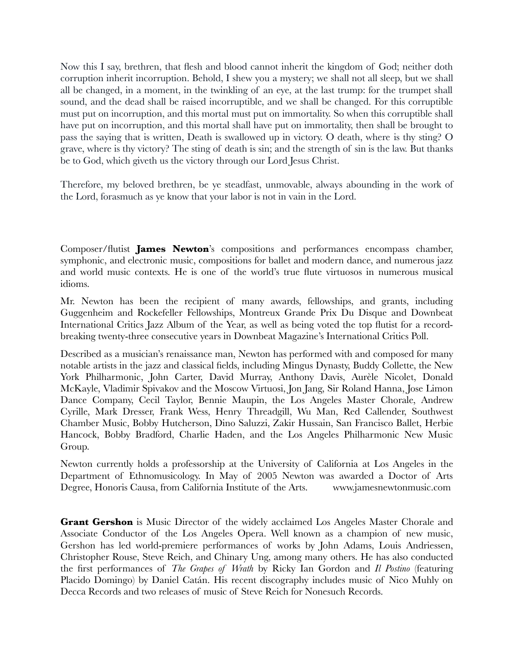Now this I say, brethren, that flesh and blood cannot inherit the kingdom of God; neither doth corruption inherit incorruption. Behold, I shew you a mystery; we shall not all sleep, but we shall all be changed, in a moment, in the twinkling of an eye, at the last trump: for the trumpet shall sound, and the dead shall be raised incorruptible, and we shall be changed. For this corruptible must put on incorruption, and this mortal must put on immortality. So when this corruptible shall have put on incorruption, and this mortal shall have put on immortality, then shall be brought to pass the saying that is written, Death is swallowed up in victory. O death, where is thy sting? O grave, where is thy victory? The sting of death is sin; and the strength of sin is the law. But thanks be to God, which giveth us the victory through our Lord Jesus Christ.

Therefore, my beloved brethren, be ye steadfast, unmovable, always abounding in the work of the Lord, forasmuch as ye know that your labor is not in vain in the Lord.

Composer/flutist **James Newton**'s compositions and performances encompass chamber, symphonic, and electronic music, compositions for ballet and modern dance, and numerous jazz and world music contexts. He is one of the world's true flute virtuosos in numerous musical idioms.

Mr. Newton has been the recipient of many awards, fellowships, and grants, including Guggenheim and Rockefeller Fellowships, Montreux Grande Prix Du Disque and Downbeat International Critics Jazz Album of the Year, as well as being voted the top flutist for a recordbreaking twenty-three consecutive years in Downbeat Magazine's International Critics Poll.

Described as a musician's renaissance man, Newton has performed with and composed for many notable artists in the jazz and classical fields, including Mingus Dynasty, Buddy Collette, the New York Philharmonic, John Carter, David Murray, Anthony Davis, Aurèle Nicolet, Donald McKayle, Vladimir Spivakov and the Moscow Virtuosi, Jon Jang, Sir Roland Hanna, Jose Limon Dance Company, Cecil Taylor, Bennie Maupin, the Los Angeles Master Chorale, Andrew Cyrille, Mark Dresser, Frank Wess, Henry Threadgill, Wu Man, Red Callender, Southwest Chamber Music, Bobby Hutcherson, Dino Saluzzi, Zakir Hussain, San Francisco Ballet, Herbie Hancock, Bobby Bradford, Charlie Haden, and the Los Angeles Philharmonic New Music Group.

Newton currently holds a professorship at the University of California at Los Angeles in the Department of Ethnomusicology. In May of 2005 Newton was awarded a Doctor of Arts Degree, Honoris Causa, from California Institute of the Arts. www.jamesnewtonmusic.com

**Grant Gershon** is Music Director of the widely acclaimed Los Angeles Master Chorale and Associate Conductor of the Los Angeles Opera. Well known as a champion of new music, Gershon has led world-premiere performances of works by John Adams, Louis Andriessen, Christopher Rouse, Steve Reich, and Chinary Ung, among many others. He has also conducted the first performances of *The Grapes of Wrath* by Ricky Ian Gordon and *Il Postino* (featuring Placido Domingo) by Daniel Catán. His recent discography includes music of Nico Muhly on Decca Records and two releases of music of Steve Reich for Nonesuch Records.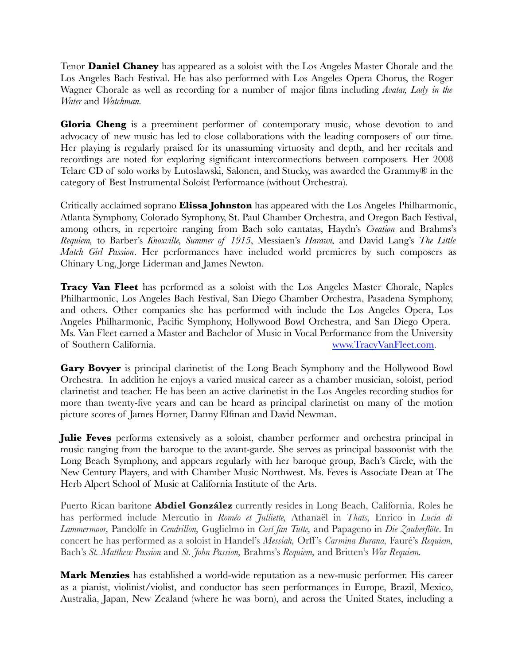Tenor **Daniel Chaney** has appeared as a soloist with the Los Angeles Master Chorale and the Los Angeles Bach Festival. He has also performed with Los Angeles Opera Chorus, the Roger Wagner Chorale as well as recording for a number of major films including *Avatar, Lady in the Water* and *Watchman.*

**Gloria Cheng** is a preeminent performer of contemporary music, whose devotion to and advocacy of new music has led to close collaborations with the leading composers of our time. Her playing is regularly praised for its unassuming virtuosity and depth, and her recitals and recordings are noted for exploring significant interconnections between composers. Her 2008 Telarc CD of solo works by Lutoslawski, Salonen, and Stucky, was awarded the Grammy® in the category of Best Instrumental Soloist Performance (without Orchestra).

Critically acclaimed soprano **Elissa Johnston** has appeared with the Los Angeles Philharmonic, Atlanta Symphony, Colorado Symphony, St. Paul Chamber Orchestra, and Oregon Bach Festival, among others, in repertoire ranging from Bach solo cantatas, Haydn's *Creation* and Brahms's *Requiem,* to Barber's *Knoxville, Summer of 1915*, Messiaen's *Harawi,* and David Lang's *The Little Match Girl Passion*. Her performances have included world premieres by such composers as Chinary Ung, Jorge Liderman and James Newton.

**Tracy Van Fleet** has performed as a soloist with the Los Angeles Master Chorale, Naples Philharmonic, Los Angeles Bach Festival, San Diego Chamber Orchestra, Pasadena Symphony, and others. Other companies she has performed with include the Los Angeles Opera, Los Angeles Philharmonic, Pacific Symphony, Hollywood Bowl Orchestra, and San Diego Opera. Ms. Van Fleet earned a Master and Bachelor of Music in Vocal Performance from the University of Southern California. www.TracyVanFleet.com.

**Gary Bovyer** is principal clarinetist of the Long Beach Symphony and the Hollywood Bowl Orchestra. In addition he enjoys a varied musical career as a chamber musician, soloist, period clarinetist and teacher. He has been an active clarinetist in the Los Angeles recording studios for more than twenty-five years and can be heard as principal clarinetist on many of the motion picture scores of James Horner, Danny Elfman and David Newman.

**Julie Feves** performs extensively as a soloist, chamber performer and orchestra principal in music ranging from the baroque to the avant-garde. She serves as principal bassoonist with the Long Beach Symphony, and appears regularly with her baroque group, Bach's Circle, with the New Century Players, and with Chamber Music Northwest. Ms. Feves is Associate Dean at The Herb Alpert School of Music at California Institute of the Arts.

Puerto Rican baritone **Abdiel González** currently resides in Long Beach, California. Roles he has performed include Mercutio in *Roméo et Julliette,* Athanaël in *Thaïs,* Enrico in *Lucia di Lammermoor,* Pandolfe in *Cendrillon,* Guglielmo in *Cosí fan Tutte,* and Papageno in *Die Zauberflöte*. In concert he has performed as a soloist in Handel's *Messiah,* Orff 's *Carmina Burana,* Fauré's *Requiem,* Bach's *St. Matthew Passion* and *St. John Passion,* Brahms's *Requiem,* and Britten's *War Requiem.*

**Mark Menzies** has established a world-wide reputation as a new-music performer. His career as a pianist, violinist/violist, and conductor has seen performances in Europe, Brazil, Mexico, Australia, Japan, New Zealand (where he was born), and across the United States, including a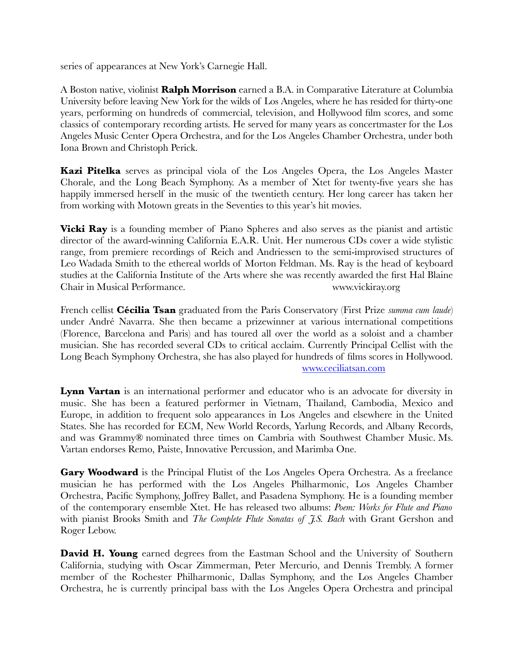series of appearances at New York's Carnegie Hall.

A Boston native, violinist **Ralph Morrison** earned a B.A. in Comparative Literature at Columbia University before leaving New York for the wilds of Los Angeles, where he has resided for thirty-one years, performing on hundreds of commercial, television, and Hollywood film scores, and some classics of contemporary recording artists. He served for many years as concertmaster for the Los Angeles Music Center Opera Orchestra, and for the Los Angeles Chamber Orchestra, under both Iona Brown and Christoph Perick.

**Kazi Pitelka** serves as principal viola of the Los Angeles Opera, the Los Angeles Master Chorale, and the Long Beach Symphony. As a member of Xtet for twenty-five years she has happily immersed herself in the music of the twentieth century. Her long career has taken her from working with Motown greats in the Seventies to this year's hit movies.

**Vicki Ray** is a founding member of Piano Spheres and also serves as the pianist and artistic director of the award-winning California E.A.R. Unit. Her numerous CDs cover a wide stylistic range, from premiere recordings of Reich and Andriessen to the semi-improvised structures of Leo Wadada Smith to the ethereal worlds of Morton Feldman. Ms. Ray is the head of keyboard studies at the California Institute of the Arts where she was recently awarded the first Hal Blaine Chair in Musical Performance. www.vickiray.org

French cellist **Cécilia Tsan** graduated from the Paris Conservatory (First Prize *summa cum laude*) under André Navarra. She then became a prizewinner at various international competitions (Florence, Barcelona and Paris) and has toured all over the world as a soloist and a chamber musician. She has recorded several CDs to critical acclaim. Currently Principal Cellist with the Long Beach Symphony Orchestra, she has also played for hundreds of films scores in Hollywood. www.ceciliatsan.com

**Lynn Vartan** is an international performer and educator who is an advocate for diversity in music. She has been a featured performer in Vietnam, Thailand, Cambodia, Mexico and Europe, in addition to frequent solo appearances in Los Angeles and elsewhere in the United States. She has recorded for ECM, New World Records, Yarlung Records, and Albany Records, and was Grammy® nominated three times on Cambria with Southwest Chamber Music. Ms. Vartan endorses Remo, Paiste, Innovative Percussion, and Marimba One.

**Gary Woodward** is the Principal Flutist of the Los Angeles Opera Orchestra. As a freelance musician he has performed with the Los Angeles Philharmonic, Los Angeles Chamber Orchestra, Pacific Symphony, Joffrey Ballet, and Pasadena Symphony. He is a founding member of the contemporary ensemble Xtet. He has released two albums: *Poem: Works for Flute and Piano* with pianist Brooks Smith and *The Complete Flute Sonatas of J.S. Bach* with Grant Gershon and Roger Lebow.

**David H. Young** earned degrees from the Eastman School and the University of Southern California, studying with Oscar Zimmerman, Peter Mercurio, and Dennis Trembly. A former member of the Rochester Philharmonic, Dallas Symphony, and the Los Angeles Chamber Orchestra, he is currently principal bass with the Los Angeles Opera Orchestra and principal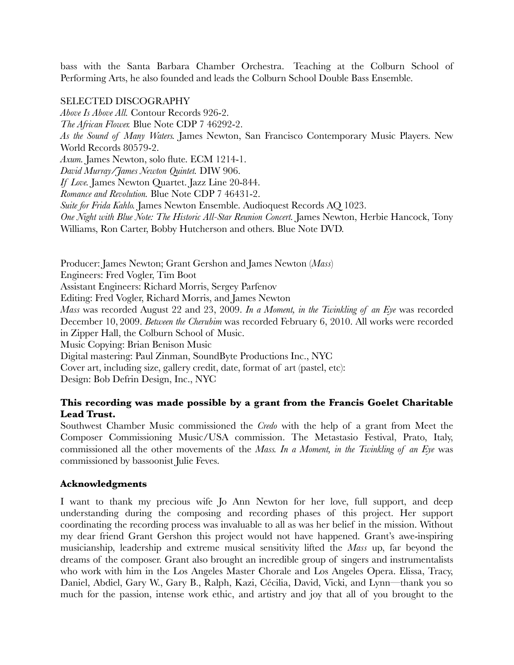bass with the Santa Barbara Chamber Orchestra. Teaching at the Colburn School of Performing Arts, he also founded and leads the Colburn School Double Bass Ensemble.

### SELECTED DISCOGRAPHY

*Above Is Above All.* Contour Records 926-2. *The African Flower.* Blue Note CDP 7 46292-2. *As the Sound of Many Waters.* James Newton, San Francisco Contemporary Music Players. New World Records 80579-2. *Axum.* James Newton, solo flute. ECM 1214-1. *David Murray/James Newton Quintet.* DIW 906. *If Love.* James Newton Quartet. Jazz Line 20-844. *Romance and Revolution.* Blue Note CDP 7 46431-2. *Suite for Frida Kahlo.* James Newton Ensemble. Audioquest Records AQ 1023. *One Night with Blue Note: The Historic All-Star Reunion Concert.* James Newton, Herbie Hancock, Tony Williams, Ron Carter, Bobby Hutcherson and others. Blue Note DVD.

Producer: James Newton; Grant Gershon and James Newton (*Mass*)

Engineers: Fred Vogler, Tim Boot

Assistant Engineers: Richard Morris, Sergey Parfenov

Editing: Fred Vogler, Richard Morris, and James Newton

*Mass* was recorded August 22 and 23, 2009. *In a Moment, in the Twinkling of an Eye* was recorded December 10, 2009. *Between the Cherubim* was recorded February 6, 2010. All works were recorded in Zipper Hall, the Colburn School of Music.

Music Copying: Brian Benison Music

Digital mastering: Paul Zinman, SoundByte Productions Inc., NYC

Cover art, including size, gallery credit, date, format of art (pastel, etc):

Design: Bob Defrin Design, Inc., NYC

### **This recording was made possible by a grant from the Francis Goelet Charitable Lead Trust.**

Southwest Chamber Music commissioned the *Credo* with the help of a grant from Meet the Composer Commissioning Music/USA commission. The Metastasio Festival, Prato, Italy, commissioned all the other movements of the *Mass. In a Moment, in the Twinkling of an Eye* was commissioned by bassoonist Julie Feves.

### **Acknowledgments**

I want to thank my precious wife Jo Ann Newton for her love, full support, and deep understanding during the composing and recording phases of this project. Her support coordinating the recording process was invaluable to all as was her belief in the mission. Without my dear friend Grant Gershon this project would not have happened. Grant's awe-inspiring musicianship, leadership and extreme musical sensitivity lifted the *Mass* up, far beyond the dreams of the composer. Grant also brought an incredible group of singers and instrumentalists who work with him in the Los Angeles Master Chorale and Los Angeles Opera. Elissa, Tracy, Daniel, Abdiel, Gary W., Gary B., Ralph, Kazi, Cécilia, David, Vicki, and Lynn—thank you so much for the passion, intense work ethic, and artistry and joy that all of you brought to the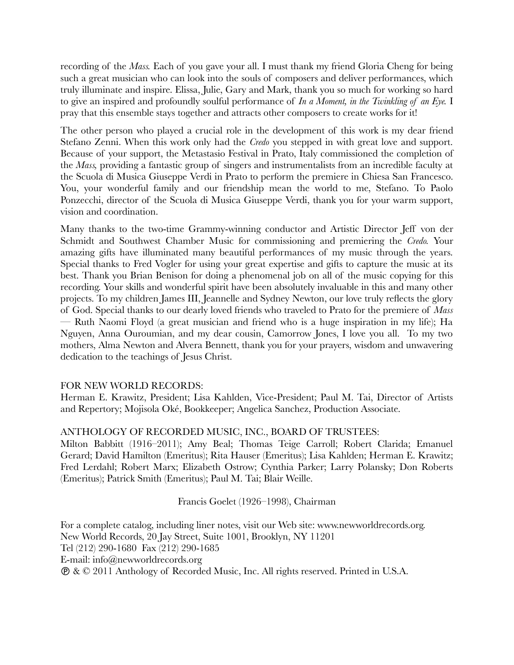recording of the *Mass.* Each of you gave your all. I must thank my friend Gloria Cheng for being such a great musician who can look into the souls of composers and deliver performances, which truly illuminate and inspire. Elissa, Julie, Gary and Mark, thank you so much for working so hard to give an inspired and profoundly soulful performance of *In a Moment, in the Twinkling of an Eye.* I pray that this ensemble stays together and attracts other composers to create works for it!

The other person who played a crucial role in the development of this work is my dear friend Stefano Zenni. When this work only had the *Credo* you stepped in with great love and support. Because of your support, the Metastasio Festival in Prato, Italy commissioned the completion of the *Mass,* providing a fantastic group of singers and instrumentalists from an incredible faculty at the Scuola di Musica Giuseppe Verdi in Prato to perform the premiere in Chiesa San Francesco. You, your wonderful family and our friendship mean the world to me, Stefano. To Paolo Ponzecchi, director of the Scuola di Musica Giuseppe Verdi, thank you for your warm support, vision and coordination.

Many thanks to the two-time Grammy-winning conductor and Artistic Director Jeff von der Schmidt and Southwest Chamber Music for commissioning and premiering the *Credo.* Your amazing gifts have illuminated many beautiful performances of my music through the years. Special thanks to Fred Vogler for using your great expertise and gifts to capture the music at its best. Thank you Brian Benison for doing a phenomenal job on all of the music copying for this recording. Your skills and wonderful spirit have been absolutely invaluable in this and many other projects. To my children James III, Jeannelle and Sydney Newton, our love truly reflects the glory of God. Special thanks to our dearly loved friends who traveled to Prato for the premiere of *Mass* — Ruth Naomi Floyd (a great musician and friend who is a huge inspiration in my life); Ha Nguyen, Anna Ouroumian, and my dear cousin, Camorrow Jones, I love you all. To my two mothers, Alma Newton and Alvera Bennett, thank you for your prayers, wisdom and unwavering dedication to the teachings of Jesus Christ.

### FOR NEW WORLD RECORDS:

Herman E. Krawitz, President; Lisa Kahlden, Vice-President; Paul M. Tai, Director of Artists and Repertory; Mojisola Oké, Bookkeeper; Angelica Sanchez, Production Associate.

### ANTHOLOGY OF RECORDED MUSIC, INC., BOARD OF TRUSTEES:

Milton Babbitt (1916–2011); Amy Beal; Thomas Teige Carroll; Robert Clarida; Emanuel Gerard; David Hamilton (Emeritus); Rita Hauser (Emeritus); Lisa Kahlden; Herman E. Krawitz; Fred Lerdahl; Robert Marx; Elizabeth Ostrow; Cynthia Parker; Larry Polansky; Don Roberts (Emeritus); Patrick Smith (Emeritus); Paul M. Tai; Blair Weille.

### Francis Goelet (1926–1998), Chairman

For a complete catalog, including liner notes, visit our Web site: www.newworldrecords.org. New World Records, 20 Jay Street, Suite 1001, Brooklyn, NY 11201 Tel (212) 290-1680 Fax (212) 290-1685 E-mail: info@newworldrecords.org & © 2011 Anthology of Recorded Music, Inc. All rights reserved. Printed in U.S.A.